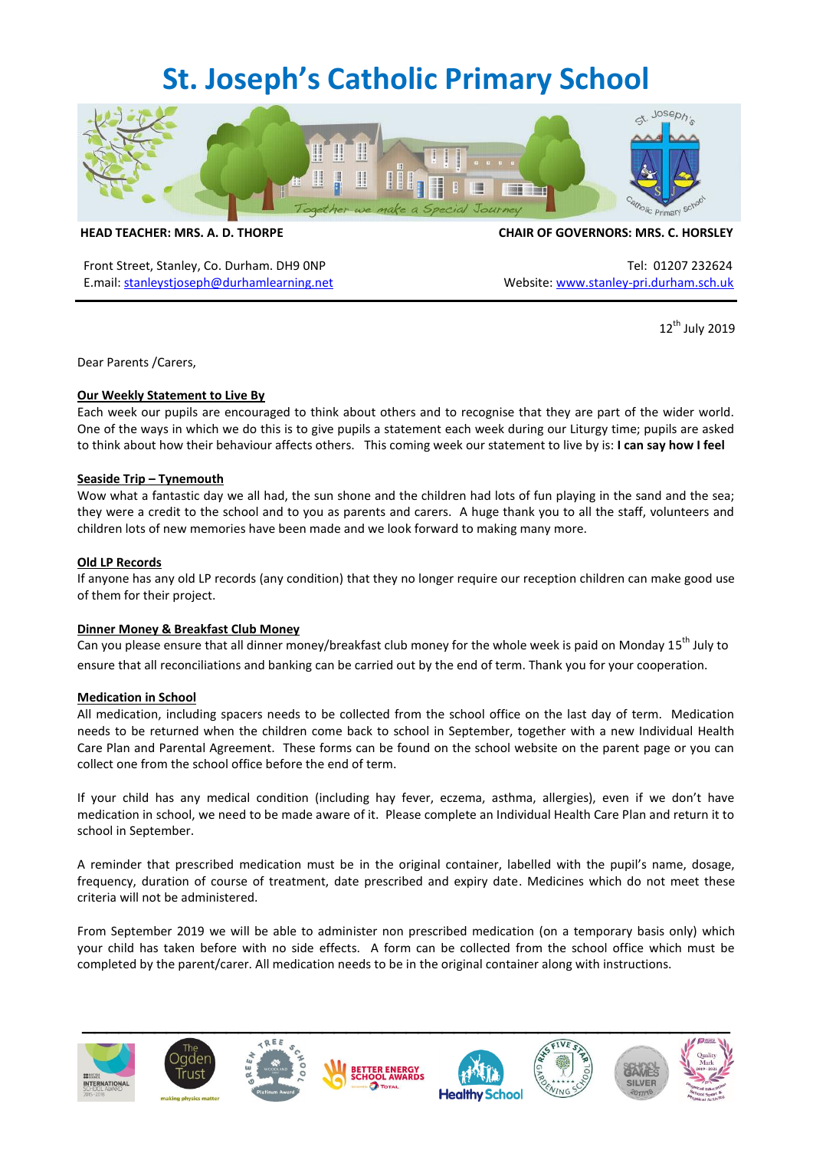# **St. Joseph's Catholic Primary School**



**HEAD TEACHER: MRS. A. D. THORPE CHAIR OF GOVERNORS: MRS. C. HORSLEY**

Front Street, Stanley, Co. Durham. DH9 ONP Tel: 01207 232624 E.mail: [stanleystjoseph@durhamlearning.net](mailto:stanleystjoseph@durhamlearning.net) Website[: www.stanley-pri.durham.sch.uk](http://www.stanley-pri.durham.sch.uk/)

12<sup>th</sup> July 2019

Dear Parents /Carers,

#### **Our Weekly Statement to Live By**

Each week our pupils are encouraged to think about others and to recognise that they are part of the wider world. One of the ways in which we do this is to give pupils a statement each week during our Liturgy time; pupils are asked to think about how their behaviour affects others. This coming week our statement to live by is: **I can say how I feel**

#### **Seaside Trip – Tynemouth**

Wow what a fantastic day we all had, the sun shone and the children had lots of fun playing in the sand and the sea; they were a credit to the school and to you as parents and carers. A huge thank you to all the staff, volunteers and children lots of new memories have been made and we look forward to making many more.

#### **Old LP Records**

If anyone has any old LP records (any condition) that they no longer require our reception children can make good use of them for their project.

#### **Dinner Money & Breakfast Club Money**

Can you please ensure that all dinner money/breakfast club money for the whole week is paid on Monday 15<sup>th</sup> July to ensure that all reconciliations and banking can be carried out by the end of term. Thank you for your cooperation.

#### **Medication in School**

All medication, including spacers needs to be collected from the school office on the last day of term. Medication needs to be returned when the children come back to school in September, together with a new Individual Health Care Plan and Parental Agreement. These forms can be found on the school website on the parent page or you can collect one from the school office before the end of term.

If your child has any medical condition (including hay fever, eczema, asthma, allergies), even if we don't have medication in school, we need to be made aware of it. Please complete an Individual Health Care Plan and return it to school in September.

A reminder that prescribed medication must be in the original container, labelled with the pupil's name, dosage, frequency, duration of course of treatment, date prescribed and expiry date. Medicines which do not meet these criteria will not be administered.

From September 2019 we will be able to administer non prescribed medication (on a temporary basis only) which your child has taken before with no side effects. A form can be collected from the school office which must be completed by the parent/carer. All medication needs to be in the original container along with instructions.

**\_\_\_\_\_\_\_\_\_\_\_\_\_\_\_\_\_\_\_\_\_\_\_\_\_\_\_\_\_\_\_\_\_\_\_\_\_\_\_\_\_\_\_\_\_\_\_\_\_\_\_\_\_\_**













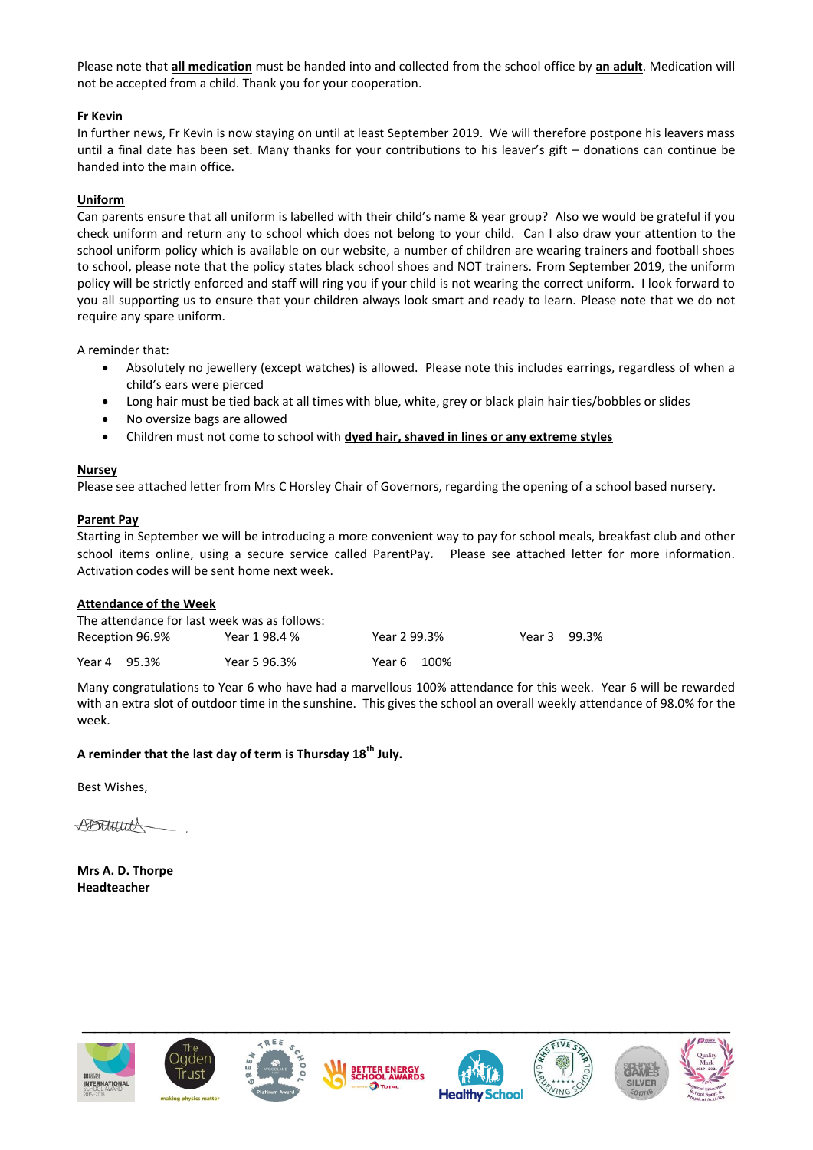Please note that **all medication** must be handed into and collected from the school office by **an adult**. Medication will not be accepted from a child. Thank you for your cooperation.

#### **Fr Kevin**

In further news, Fr Kevin is now staying on until at least September 2019. We will therefore postpone his leavers mass until a final date has been set. Many thanks for your contributions to his leaver's gift – donations can continue be handed into the main office.

# **Uniform**

Can parents ensure that all uniform is labelled with their child's name & year group? Also we would be grateful if you check uniform and return any to school which does not belong to your child. Can I also draw your attention to the school uniform policy which is available on our website, a number of children are wearing trainers and football shoes to school, please note that the policy states black school shoes and NOT trainers. From September 2019, the uniform policy will be strictly enforced and staff will ring you if your child is not wearing the correct uniform. I look forward to you all supporting us to ensure that your children always look smart and ready to learn. Please note that we do not require any spare uniform.

A reminder that:

- Absolutely no jewellery (except watches) is allowed. Please note this includes earrings, regardless of when a child's ears were pierced
- Long hair must be tied back at all times with blue, white, grey or black plain hair ties/bobbles or slides
- No oversize bags are allowed
- Children must not come to school with **dyed hair, shaved in lines or any extreme styles**

# **Nursey**

Please see attached letter from Mrs C Horsley Chair of Governors, regarding the opening of a school based nursery.

# **Parent Pay**

Starting in September we will be introducing a more convenient way to pay for school meals, breakfast club and other school items online, using a secure service called ParentPay*.* Please see attached letter for more information. Activation codes will be sent home next week.

| <b>Attendance of the Week</b> |              |                                              |              |              |  |
|-------------------------------|--------------|----------------------------------------------|--------------|--------------|--|
|                               |              | The attendance for last week was as follows: |              |              |  |
| Reception 96.9%               |              | Year 1 98.4 %                                | Year 2 99.3% | Year 3 99.3% |  |
|                               | Year 4 95.3% | Year 5 96.3%                                 | Year 6 100%  |              |  |

Many congratulations to Year 6 who have had a marvellous 100% attendance for this week. Year 6 will be rewarded with an extra slot of outdoor time in the sunshine. This gives the school an overall weekly attendance of 98.0% for the week.

# **A reminder that the last day of term is Thursday 18th July.**

Best Wishes,

APTHHttett

**Mrs A. D. Thorpe Headteacher**









**\_\_\_\_\_\_\_\_\_\_\_\_\_\_\_\_\_\_\_\_\_\_\_\_\_\_\_\_\_\_\_\_\_\_\_\_\_\_\_\_\_\_\_\_\_\_\_\_\_\_\_\_\_\_**